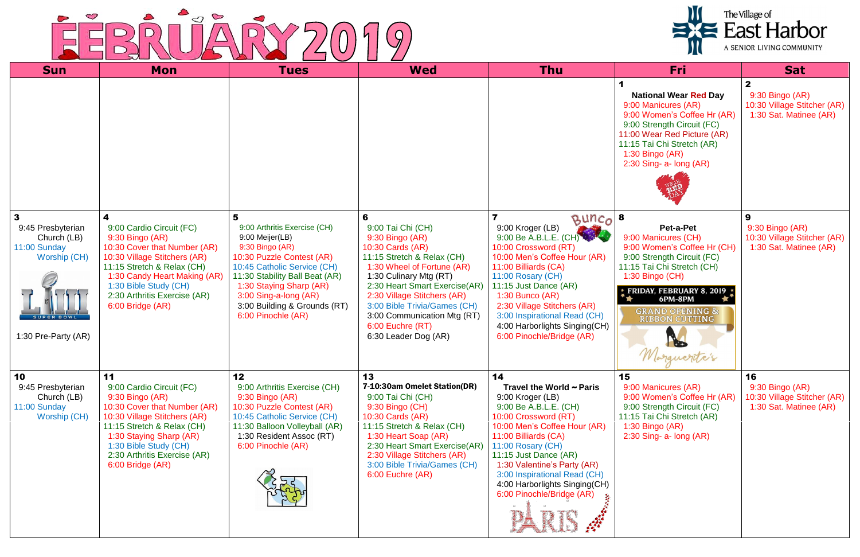## EEBRUARY 2019

| <b>Sun</b>                                                                                                                          | Mon                                                                                                                                                                                                                                                     | <b>Tues</b>                                                                                                                                                                                                                                                                     | <b>Wed</b>                                                                                                                                                                                                                                                                                                                     | <b>Thu</b>                                                                                                                                                                                                                                                                                                                                                 | Fri                                                                                                                                                                                                                                                  | <b>Sat</b>                                                                     |
|-------------------------------------------------------------------------------------------------------------------------------------|---------------------------------------------------------------------------------------------------------------------------------------------------------------------------------------------------------------------------------------------------------|---------------------------------------------------------------------------------------------------------------------------------------------------------------------------------------------------------------------------------------------------------------------------------|--------------------------------------------------------------------------------------------------------------------------------------------------------------------------------------------------------------------------------------------------------------------------------------------------------------------------------|------------------------------------------------------------------------------------------------------------------------------------------------------------------------------------------------------------------------------------------------------------------------------------------------------------------------------------------------------------|------------------------------------------------------------------------------------------------------------------------------------------------------------------------------------------------------------------------------------------------------|--------------------------------------------------------------------------------|
|                                                                                                                                     |                                                                                                                                                                                                                                                         |                                                                                                                                                                                                                                                                                 |                                                                                                                                                                                                                                                                                                                                |                                                                                                                                                                                                                                                                                                                                                            | <b>National Wear Red Day</b><br>9:00 Manicures (AR)<br>9:00 Women's Coffee Hr (AR)<br>9:00 Strength Circuit (FC)<br>11:00 Wear Red Picture (AR)<br>11:15 Tai Chi Stretch (AR)<br>$1:30$ Bingo (AR)<br>2:30 Sing- a- long (AR)                        | $9:30$ Bingo (AR)<br>10:30 Village Stitcher (AR)<br>1:30 Sat. Matinee (AR)     |
| $\mathbf{3}$<br>9:45 Presbyterian<br>Church (LB)<br>11:00 Sunday<br><b>Worship (CH)</b><br><b>SUPER BOWL</b><br>1:30 Pre-Party (AR) | 9:00 Cardio Circuit (FC)<br>9:30 Bingo (AR)<br>10:30 Cover that Number (AR)<br>10:30 Village Stitchers (AR)<br>11:15 Stretch & Relax (CH)<br>1:30 Candy Heart Making (AR)<br>1:30 Bible Study (CH)<br>2:30 Arthritis Exercise (AR)<br>6:00 Bridge (AR)  | 5<br>9:00 Arthritis Exercise (CH)<br>9:00 Meijer(LB)<br>9:30 Bingo (AR)<br>10:30 Puzzle Contest (AR)<br>10:45 Catholic Service (CH)<br>11:30 Stability Ball Beat (AR)<br>1:30 Staying Sharp (AR)<br>3:00 Sing-a-long (AR)<br>3:00 Building & Grounds (RT)<br>6:00 Pinochle (AR) | 6<br>9:00 Tai Chi (CH)<br>9:30 Bingo (AR)<br>10:30 Cards (AR)<br>11:15 Stretch & Relax (CH)<br>1:30 Wheel of Fortune (AR)<br>1:30 Culinary Mtg (RT)<br>2:30 Heart Smart Exercise(AR)<br>2:30 Village Stitchers (AR)<br>3:00 Bible Trivia/Games (CH)<br>3:00 Communication Mtg (RT)<br>6:00 Euchre (RT)<br>6:30 Leader Dog (AR) | $Bunco$ 8<br>9:00 Kroger (LB)<br>9:00 Kroger (LB)<br>9:00 Be A.B.L.E. (CH)<br>10:00 Crossword (RT)<br>10:00 Men's Coffee Hour (AR)<br>11:00 Billiards (CA)<br>11:00 Rosary (CH)<br>11:15 Just Dance (AR)<br>$1:30$ Bunco (AR)<br>2:30 Village Stitchers (AR)<br>3:00 Inspirational Read (CH)<br>4:00 Harborlights Singing(CH)<br>6:00 Pinochle/Bridge (AR) | Pet-a-Pet<br>9:00 Manicures (CH)<br>9:00 Women's Coffee Hr (CH)<br>9:00 Strength Circuit (FC)<br>11:15 Tai Chi Stretch (CH)<br>1:30 Bingo (CH)<br>$*$ FRIDAY, FEBRUARY 8, 2019 $*$<br>6PM-8PM<br><b>GRAND OPENING &amp;</b><br><b>RIBBON CUTTING</b> | 9:30 Bingo (AR)<br>10:30 Village Stitcher (AR)<br>1:30 Sat. Matinee (AR)       |
| 10<br>9:45 Presbyterian<br>Church (LB)<br>11:00 Sunday<br>Worship (CH)                                                              | 11<br>9:00 Cardio Circuit (FC)<br>9:30 Bingo (AR)<br>10:30 Cover that Number (AR)<br>10:30 Village Stitchers (AR)<br>11:15 Stretch & Relax (CH)<br>1:30 Staying Sharp (AR)<br>1:30 Bible Study (CH)<br>2:30 Arthritis Exercise (AR)<br>6:00 Bridge (AR) | 12<br>9:00 Arthritis Exercise (CH)<br>9:30 Bingo (AR)<br>10:30 Puzzle Contest (AR)<br>10:45 Catholic Service (CH)<br>11:30 Balloon Volleyball (AR)<br>1:30 Resident Assoc (RT)<br>6:00 Pinochle (AR)                                                                            | 13<br>7-10:30am Omelet Station(DR)<br>9:00 Tai Chi (CH)<br>9:30 Bingo (CH)<br>10:30 Cards (AR)<br>11:15 Stretch & Relax (CH)<br>1:30 Heart Soap (AR)<br>2:30 Heart Smart Exercise(AR)<br>2:30 Village Stitchers (AR)<br>3:00 Bible Trivia/Games (CH)<br>6:00 Euchre (AR)                                                       | 14<br>Travel the World $\sim$ Paris<br>9:00 Kroger (LB)<br>9:00 Be A.B.L.E. (CH)<br>10:00 Crossword (RT)<br>10:00 Men's Coffee Hour (AR)<br>11:00 Billiards (CA)<br>11:00 Rosary (CH)<br>11:15 Just Dance (AR)<br>1:30 Valentine's Party (AR)<br>3:00 Inspirational Read (CH)<br>4:00 Harborlights Singing(CH)<br>6:00 Pinochle/Bridge (AR)                | 15<br>9:00 Manicures (AR)<br>9:00 Women's Coffee Hr (AR)<br>9:00 Strength Circuit (FC)<br>11:15 Tai Chi Stretch (AR)<br>1:30 Bingo (AR)<br>$2:30$ Sing- a- long $(AR)$                                                                               | 16<br>9:30 Bingo (AR)<br>10:30 Village Stitcher (AR)<br>1:30 Sat. Matinee (AR) |

## The Village of<br>
East Harbor A SENIOR LIVING COMMUNITY